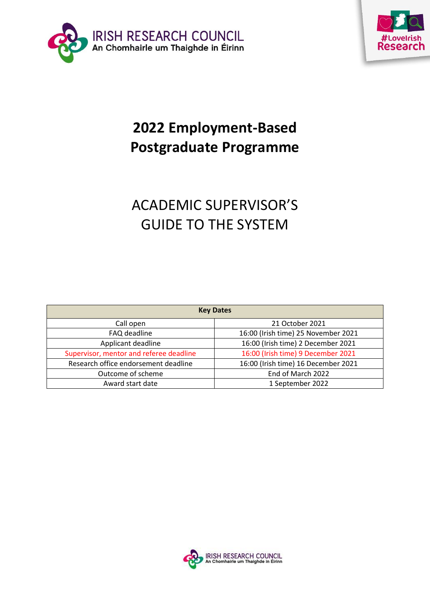



# **2022 Employment-Based Postgraduate Programme**

# ACADEMIC SUPERVISOR'S GUIDE TO THE SYSTEM

| <b>Key Dates</b>                        |                                     |
|-----------------------------------------|-------------------------------------|
| Call open                               | 21 October 2021                     |
| FAQ deadline                            | 16:00 (Irish time) 25 November 2021 |
| Applicant deadline                      | 16:00 (Irish time) 2 December 2021  |
| Supervisor, mentor and referee deadline | 16:00 (Irish time) 9 December 2021  |
| Research office endorsement deadline    | 16:00 (Irish time) 16 December 2021 |
| Outcome of scheme                       | End of March 2022                   |
| Award start date                        | 1 September 2022                    |

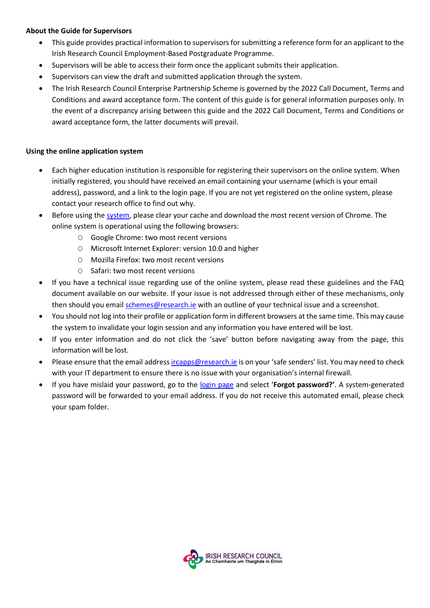## **About the Guide for Supervisors**

- This guide provides practical information to supervisors for submitting a reference form for an applicant to the Irish Research Council Employment-Based Postgraduate Programme.
- Supervisors will be able to access their form once the applicant submits their application.
- Supervisors can view the draft and submitted application through the system.
- The Irish Research Council Enterprise Partnership Scheme is governed by the 2022 Call Document, Terms and Conditions and award acceptance form. The content of this guide is for general information purposes only. In the event of a discrepancy arising between this guide and the 2022 Call Document, Terms and Conditions or award acceptance form, the latter documents will prevail.

## **Using the online application system**

- Each higher education institution is responsible for registering their supervisors on the online system. When initially registered, you should have received an email containing your username (which is your email address), password, and a link to the login page. If you are not yet registered on the online system, please contact your research office to find out why.
- Before using the [system,](https://irishresearch.smartsimple.ie/s_Login.jsp) please clear your cache and download the most recent version of Chrome. The online system is operational using the following browsers:
	- O Google Chrome: two most recent versions
	- O Microsoft Internet Explorer: version 10.0 and higher
	- O Mozilla Firefox: two most recent versions
	- O Safari: two most recent versions
- If you have a technical issue regarding use of the online system, please read these guidelines and the FAQ document available on our website. If your issue is not addressed through either of these mechanisms, only then should you email [schemes@research.ie](mailto:schemes@research.ie) with an outline of your technical issue and a screenshot.
- You should not log into their profile or application form in different browsers at the same time. This may cause the system to invalidate your login session and any information you have entered will be lost.
- If you enter information and do not click the 'save' button before navigating away from the page, this information will be lost.
- Please ensure that the email addres[s ircapps@research.ie](mailto:ircapps@research.ie) is on your 'safe senders' list. You may need to check with your IT department to ensure there is no issue with your organisation's internal firewall.
- If you have mislaid your password, go to the [login page](https://irishresearch.smartsimple.ie/s_Login.jsp) and select '**Forgot password?'**. A system-generated password will be forwarded to your email address. If you do not receive this automated email, please check your spam folder.

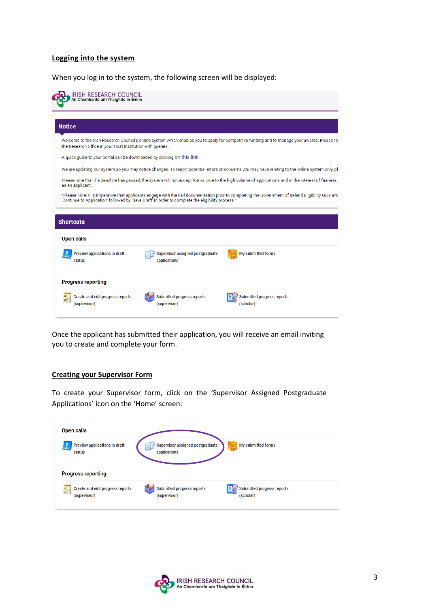### **Logging into the system**

When you log in to the system, the following screen will be displayed:

| IRISH RESEARCH COUNCIL<br>An Chomhairle um Thaighde in Eirinn            |                                                                                                   |                                                                                                                                                      |
|--------------------------------------------------------------------------|---------------------------------------------------------------------------------------------------|------------------------------------------------------------------------------------------------------------------------------------------------------|
| <b>Notice</b>                                                            |                                                                                                   |                                                                                                                                                      |
| the Research Office in your Host Institution with queries.               |                                                                                                   | Welcome to the Irish Research Council's online system which enables you to apply for competitive funding and to manage your awards. Please rea       |
| A quick guide to your portal can be downloaded by clicking on this link. |                                                                                                   |                                                                                                                                                      |
|                                                                          |                                                                                                   | We are updating our system so you may notice changes. To report potential errors or concerns you may have relating to the online system only, pl     |
| as an applicant.                                                         |                                                                                                   | Please note that if a deadline has passed, the system will not accept forms. Due to the high volume of applications and in the interest of fairness, |
|                                                                          | 'Continue to Application' followed by 'Save Draft' in order to complete the eligibility process.* | *Please note: It is imperative that applicants engage with the call documentation prior to completing the Government of Ireland Eligibility Quiz and |
|                                                                          |                                                                                                   |                                                                                                                                                      |
| <b>Shortcuts</b>                                                         |                                                                                                   |                                                                                                                                                      |
| <b>Open calls</b>                                                        |                                                                                                   |                                                                                                                                                      |
| <b>Preview applications in draft</b><br>status                           | Supervisor assigned postgraduate<br>applications                                                  | My submitted forms                                                                                                                                   |
| <b>Progress reporting</b>                                                |                                                                                                   |                                                                                                                                                      |
| <b>Create and edit progress reports</b><br>(supervisor)                  | <b>Submitted progress reports</b><br>(supervisor)                                                 | <b>Submitted progress reports</b><br>(scholar)                                                                                                       |

Once the applicant has submitted their application, you will receive an email inviting you to create and complete your form.

#### **Creating your Supervisor Form**

To create your Supervisor form, click on the 'Supervisor Assigned Postgraduate Applications' icon on the 'Home' screen:

| <b>Open calls</b>                                            |                                                   |                                                |  |
|--------------------------------------------------------------|---------------------------------------------------|------------------------------------------------|--|
| <b>Preview applications in draft</b><br>status               | Supervisor assigned postgraduate<br>applications  | E<br>My submitted forms                        |  |
| <b>Progress reporting</b>                                    |                                                   |                                                |  |
| E<br><b>Create and edit progress reports</b><br>(supervisor) | <b>Submitted progress reports</b><br>(supervisor) | <b>Submitted progress reports</b><br>(scholar) |  |

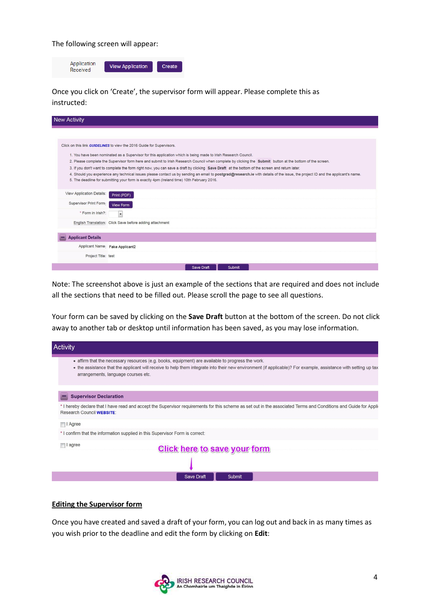The following screen will appear:



Once you click on 'Create', the supervisor form will appear. Please complete this as instructed:

| <b>New Activity</b>       |                                                                                                                                                                                                                                                                                                                                                                                                                                                                                                                                                                                                                                                                                                                                                                                         |
|---------------------------|-----------------------------------------------------------------------------------------------------------------------------------------------------------------------------------------------------------------------------------------------------------------------------------------------------------------------------------------------------------------------------------------------------------------------------------------------------------------------------------------------------------------------------------------------------------------------------------------------------------------------------------------------------------------------------------------------------------------------------------------------------------------------------------------|
|                           |                                                                                                                                                                                                                                                                                                                                                                                                                                                                                                                                                                                                                                                                                                                                                                                         |
|                           | Click on this link GUIDELINES to view the 2016 Guide for Supervisors.<br>1. You have been nominated as a Supervisor for this application which is being made to Irish Research Council.<br>2. Please complete the Supervisor form here and submit to Irish Research Council when complete by clicking the Submit button at the bottom of the screen.<br>3. If you don't want to complete the form right now, you can save a draft by clicking Save Draft at the bottom of the screen and return later.<br>4. Should you experience any technical issues please contact us by sending an email to postgrad@research.ie with details of the issue, the project ID and the applicant's name.<br>5. The deadline for submitting your form is exactly 4pm (Ireland time) 10th February 2016. |
| View Application Details: | Print (PDF)                                                                                                                                                                                                                                                                                                                                                                                                                                                                                                                                                                                                                                                                                                                                                                             |
| Supervisor Print Form:    | View Form                                                                                                                                                                                                                                                                                                                                                                                                                                                                                                                                                                                                                                                                                                                                                                               |
| * Form in Irish?:         | $\overline{\phantom{a}}$                                                                                                                                                                                                                                                                                                                                                                                                                                                                                                                                                                                                                                                                                                                                                                |
|                           | English Translation: Click Save before adding attachment                                                                                                                                                                                                                                                                                                                                                                                                                                                                                                                                                                                                                                                                                                                                |
| <b>Applicant Details</b>  |                                                                                                                                                                                                                                                                                                                                                                                                                                                                                                                                                                                                                                                                                                                                                                                         |
|                           | Applicant Name: Fake Applicant2                                                                                                                                                                                                                                                                                                                                                                                                                                                                                                                                                                                                                                                                                                                                                         |
| Project Title: test       |                                                                                                                                                                                                                                                                                                                                                                                                                                                                                                                                                                                                                                                                                                                                                                                         |
|                           | <b>Save Draft</b><br>Submit                                                                                                                                                                                                                                                                                                                                                                                                                                                                                                                                                                                                                                                                                                                                                             |

Note: The screenshot above is just an example of the sections that are required and does not include all the sections that need to be filled out. Please scroll the page to see all questions.

Your form can be saved by clicking on the **Save Draft** button at the bottom of the screen. Do not click away to another tab or desktop until information has been saved, as you may lose information.

| <b>Activity</b>                                                                                                                                                                                                                                                                                             |  |
|-------------------------------------------------------------------------------------------------------------------------------------------------------------------------------------------------------------------------------------------------------------------------------------------------------------|--|
| • affirm that the necessary resources (e.g. books, equipment) are available to progress the work.<br>• the assistance that the applicant will receive to help them integrate into their new environment (if applicable)? For example, assistance with setting up tax<br>arrangements, language courses etc. |  |
| <b>Supervisor Declaration</b>                                                                                                                                                                                                                                                                               |  |
| * I hereby declare that I have read and accept the Supervisor requirements for this scheme as set out in the associated Terms and Conditions and Guide for Applion<br>Research Council WEBSITE:                                                                                                             |  |
| $\Box$ I Agree                                                                                                                                                                                                                                                                                              |  |
| * I confirm that the information supplied in this Supervisor Form is correct:                                                                                                                                                                                                                               |  |
| agree<br>Click here to save your form                                                                                                                                                                                                                                                                       |  |
|                                                                                                                                                                                                                                                                                                             |  |
| Save Draft<br><b>Submit</b>                                                                                                                                                                                                                                                                                 |  |

#### **Editing the Supervisor form**

Once you have created and saved a draft of your form, you can log out and back in as many times as you wish prior to the deadline and edit the form by clicking on **Edit**:

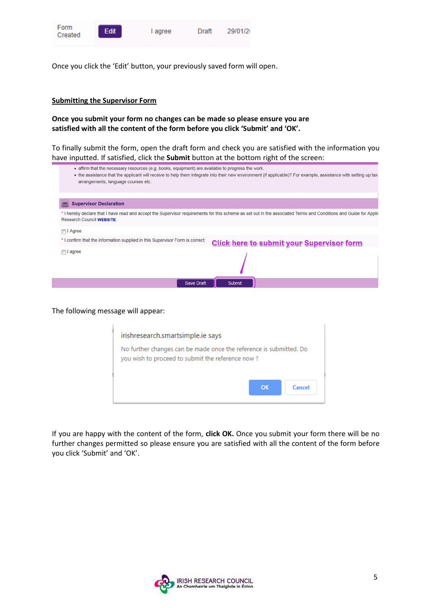

Once you click the 'Edit' button, your previously saved form will open.

### **Submitting the Supervisor Form**

**Once you submit your form no changes can be made so please ensure you are satisfied with all the content of the form before you click 'Submit' and 'OK'.**

To finally submit the form, open the draft form and check you are satisfied with the information you have inputted. If satisfied, click the **Submit** button at the bottom right of the screen:

| • affirm that the necessary resources (e.g. books, equipment) are available to progress the work. |                                                                                                                                                                   |
|---------------------------------------------------------------------------------------------------|-------------------------------------------------------------------------------------------------------------------------------------------------------------------|
| arrangements, language courses etc.                                                               | • the assistance that the applicant will receive to help them integrate into their new environment (if applicable)? For example, assistance with setting up tax   |
|                                                                                                   |                                                                                                                                                                   |
|                                                                                                   |                                                                                                                                                                   |
| <b>Supervisor Declaration</b>                                                                     |                                                                                                                                                                   |
| <b>Research Council WEBSITE:</b>                                                                  | * I hereby declare that I have read and accept the Supervisor requirements for this scheme as set out in the associated Terms and Conditions and Guide for Applio |
| I Agree                                                                                           |                                                                                                                                                                   |
| * I confirm that the information supplied in this Supervisor Form is correct:                     | <b>Click here to submit your Supervisor form</b>                                                                                                                  |
| <b>■I</b> agree                                                                                   |                                                                                                                                                                   |
|                                                                                                   |                                                                                                                                                                   |
| Save Draft                                                                                        | Submit                                                                                                                                                            |
|                                                                                                   |                                                                                                                                                                   |

The following message will appear:

| irishresearch.smartsimple.ie says                                                                                      |
|------------------------------------------------------------------------------------------------------------------------|
| No further changes can be made once the reference is submitted. Do<br>you wish to proceed to submit the reference now? |
| $\alpha$<br>Cancel                                                                                                     |

If you are happy with the content of the form, **click OK.** Once you submit your form there will be no further changes permitted so please ensure you are satisfied with all the content of the form before you click 'Submit' and 'OK'.